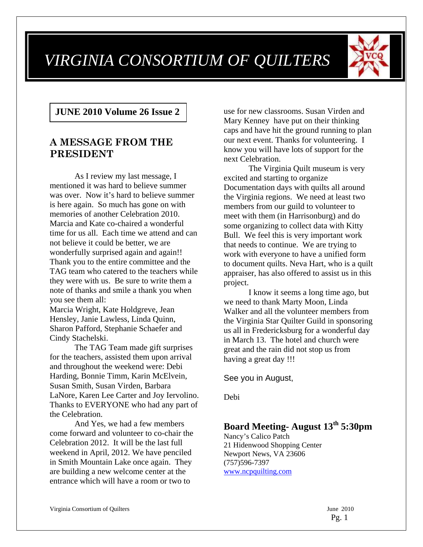# *VIRGINIA CONSORTIUM OF QUILTERS*



# **JUNE 2010 Volume 26 Issue 2**

# **A MESSAGE FROM THE PRESIDENT**

As I review my last message, I mentioned it was hard to believe summer was over. Now it's hard to believe summer is here again. So much has gone on with memories of another Celebration 2010. Marcia and Kate co-chaired a wonderful time for us all. Each time we attend and can not believe it could be better, we are wonderfully surprised again and again!! Thank you to the entire committee and the TAG team who catered to the teachers while they were with us. Be sure to write them a note of thanks and smile a thank you when you see them all:

Marcia Wright, Kate Holdgreve, Jean Hensley, Janie Lawless, Linda Quinn, Sharon Pafford, Stephanie Schaefer and Cindy Stachelski.

The TAG Team made gift surprises for the teachers, assisted them upon arrival and throughout the weekend were: Debi Harding, Bonnie Timm, Karin McElvein, Susan Smith, Susan Virden, Barbara LaNore, Karen Lee Carter and Joy Iervolino. Thanks to EVERYONE who had any part of the Celebration.

And Yes, we had a few members come forward and volunteer to co-chair the Celebration 2012. It will be the last full weekend in April, 2012. We have penciled in Smith Mountain Lake once again. They are building a new welcome center at the entrance which will have a room or two to

use for new classrooms. Susan Virden and Mary Kenney have put on their thinking caps and have hit the ground running to plan our next event. Thanks for volunteering. I know you will have lots of support for the next Celebration.

The Virginia Quilt museum is very excited and starting to organize Documentation days with quilts all around the Virginia regions. We need at least two members from our guild to volunteer to meet with them (in Harrisonburg) and do some organizing to collect data with Kitty Bull. We feel this is very important work that needs to continue. We are trying to work with everyone to have a unified form to document quilts. Neva Hart, who is a quilt appraiser, has also offered to assist us in this project.

I know it seems a long time ago, but we need to thank Marty Moon, Linda Walker and all the volunteer members from the Virginia Star Quilter Guild in sponsoring us all in Fredericksburg for a wonderful day in March 13. The hotel and church were great and the rain did not stop us from having a great day !!!

See you in August,

Debi

# **Board Meeting- August 13th 5:30pm**

Nancy's Calico Patch 21 Hidenwood Shopping Center Newport News, VA 23606 (757)596-7397 www.ncpquilting.com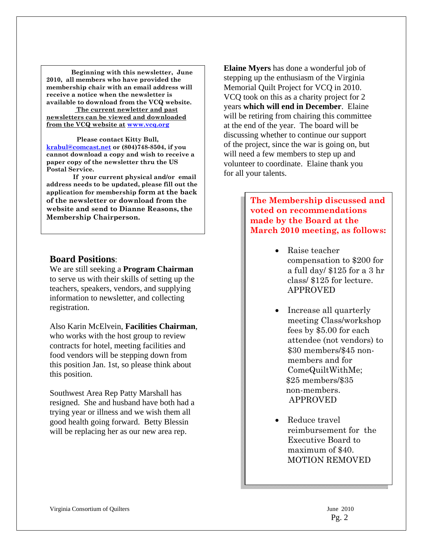**Beginning with this newsletter, June 2010, all members who have provided the membership chair with an email address will receive a notice when the newsletter is available to download from the VCQ website. The current newletter and past** 

**newsletters can be viewed and downloaded from the VCQ website at www.vcq.org**

 **Please contact Kitty Bull, krabul@comcast.net or (804)748-8504, if you cannot download a copy and wish to receive a paper copy of the newsletter thru the US Postal Service.** 

 **If your current physical and/or email address needs to be updated, please fill out the application for membership form at the back of the newsletter or download from the website and send to Dianne Reasons, the Membership Chairperson.** 

#### **Board Positions**:

We are still seeking a **Program Chairman** to serve us with their skills of setting up the teachers, speakers, vendors, and supplying information to newsletter, and collecting registration.

Also Karin McElvein, **Facilities Chairman**, who works with the host group to review contracts for hotel, meeting facilities and food vendors will be stepping down from this position Jan. 1st, so please think about this position.

Southwest Area Rep Patty Marshall has resigned. She and husband have both had a trying year or illness and we wish them all good health going forward. Betty Blessin will be replacing her as our new area rep.

**Elaine Myers** has done a wonderful job of stepping up the enthusiasm of the Virginia Memorial Quilt Project for VCQ in 2010. VCQ took on this as a charity project for 2 years **which will end in December**. Elaine will be retiring from chairing this committee at the end of the year. The board will be discussing whether to continue our support of the project, since the war is going on, but will need a few members to step up and volunteer to coordinate. Elaine thank you for all your talents.

> **The Membership discussed and voted on recommendations made by the Board at the March 2010 meeting, as follows:**

- Raise teacher compensation to \$200 for a full day/ \$125 for a 3 hr class/ \$125 for lecture. APPROVED
- Increase all quarterly meeting Class/workshop fees by \$5.00 for each attendee (not vendors) to \$30 members/\$45 nonmembers and for ComeQuiltWithMe; \$25 members/\$35 non-members. APPROVED
- Reduce travel reimbursement for the Executive Board to maximum of \$40. MOTION REMOVED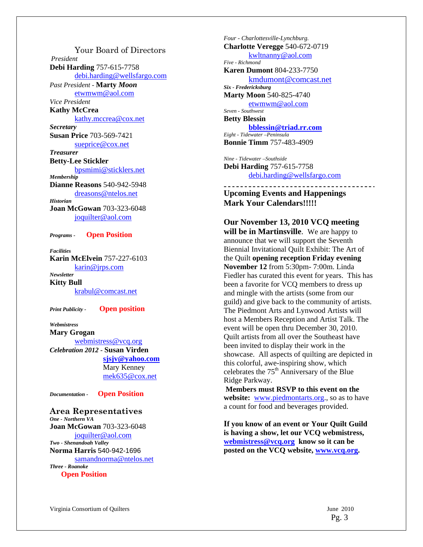Your Board of Directors *President*  **Debi Harding** 757-615-7758 debi.harding@wellsfargo.com *Past President -* **Marty** *Moon* etwmwm@aol.com *Vice President*  **Kathy McCrea**  kathy.mccrea@cox.net *Secretary*  **Susan Price** 703-569-7421 sueprice@cox.net *Treasurer*  **Betty-Lee Stickler**  bpsmimi@sticklers.net *Membership*  **Dianne Reasons** 540-942-5948 dreasons@ntelos.net *Historian*  **Joan McGowan** 703-323-6048 joquilter@aol.com *Programs -* **Open Position** 

*Facilities* 

**Karin McElvein** 757-227-6103 karin@jrps.com *Newsletter*  **Kitty Bull** 

krabul@comcast.net

*Print Publicity -* **Open position** 

*Webmistress*  **Mary Grogan**  webmistress@vcq.org *Celebration 2012 -* **Susan Virden sjsjv@yahoo.com** Mary Kenney mek635@cox.net

*Documentation -* **Open Position**

**Area Representatives**  *One - Northern VA*  **Joan McGowan** 703-323-6048 joquilter@aol.com *Two - Shenandoah Valley* **Norma Harris** 540-942-1696 samandnorma@ntelos.net *Three - Roanoke*   **Open Position**

*Four - Charlottesville-Lynchburg.*  **Charlotte Veregge** 540-672-0719 kwltnanny@aol.com *Five - Richmond*  **Karen Dumont** 804-233-7750 kmdumont@comcast.net *Six - Fredericksburg*  **Marty Moon** 540-825-4740 etwmwm@aol.com *Seven - Southwest*  **Betty Blessin bblessin@triad.rr.com** *Eight - Tidewater –Peninsula*  **Bonnie Timm** 757-483-4909

*Nine - Tidewater –Southside*  **Debi Harding** 757-615-7758 debi.harding@wellsfargo.com

\_\_\_\_\_\_\_\_\_\_\_\_\_\_\_\_\_\_\_\_\_\_\_\_\_\_\_\_ **Upcoming Events and Happenings Mark Your Calendars!!!!!** 

**Our November 13, 2010 VCQ meeting will be in Martinsville**. We are happy to announce that we will support the Seventh Biennial Invitational Quilt Exhibit: The Art of the Quilt **opening reception Friday evening November 12** from 5:30pm- 7:00m. Linda Fiedler has curated this event for years. This has been a favorite for VCQ members to dress up and mingle with the artists (some from our guild) and give back to the community of artists. The Piedmont Arts and Lynwood Artists will host a Members Reception and Artist Talk. The event will be open thru December 30, 2010. Quilt artists from all over the Southeast have been invited to display their work in the showcase. All aspects of quilting are depicted in this colorful, awe-inspiring show, which celebrates the  $75<sup>th</sup>$  Anniversary of the Blue Ridge Parkway.

**Members must RSVP to this event on the**  website: www.piedmontarts.org., so as to have a count for food and beverages provided.

**If you know of an event or Your Quilt Guild is having a show, let our VCQ webmistress, webmistress@vcq.org know so it can be posted on the VCQ website, www.vcq.org.**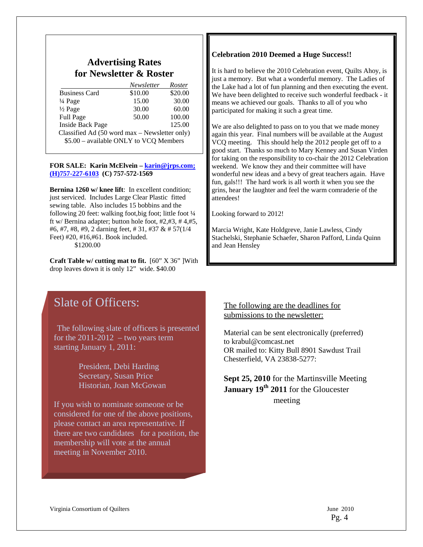## **Advertising Rates for Newsletter & Roster**

|                                               | Newsletter | Roster  |
|-----------------------------------------------|------------|---------|
| <b>Business Card</b>                          | \$10.00    | \$20.00 |
| $\frac{1}{4}$ Page                            | 15.00      | 30.00   |
| $\frac{1}{2}$ Page                            | 30.00      | 60.00   |
| Full Page                                     | 50.00      | 100.00  |
| <b>Inside Back Page</b>                       |            | 125.00  |
| Classified Ad (50 word max – Newsletter only) |            |         |
| \$5.00 - available ONLY to VCQ Members        |            |         |

#### **FOR SALE: Karin McElvein – karin@jrps.com; (H)757-227-6103 (C) 757-572-1569**

**Bernina 1260 w/ knee lift:** In excellent condition; just serviced. Includes Large Clear Plastic fitted sewing table. Also includes 15 bobbins and the following 20 feet: walking foot, big foot; little foot 1/4 ft w/ Bernina adapter; button hole foot, #2,#3, # 4,#5, #6, #7, #8, #9, 2 darning feet, # 31, #37 & # 57(1/4 Feet) #20, #16,#61. Book included. \$1200.00

**Craft Table w/ cutting mat to fit.** [60" X 36" ]With drop leaves down it is only 12" wide. \$40.00

# Slate of Officers:

The following slate of officers is presented for the  $2011-2012 -$  two years term starting January 1, 2011:

> President, Debi Harding Secretary, Susan Price Historian, Joan McGowan

If you wish to nominate someone or be considered for one of the above positions, please contact an area representative. If there are two candidates for a position, the membership will vote at the annual meeting in November 2010.

#### **Celebration 2010 Deemed a Huge Success!!**

It is hard to believe the 2010 Celebration event, Quilts Ahoy, is just a memory. But what a wonderful memory. The Ladies of the Lake had a lot of fun planning and then executing the event. We have been delighted to receive such wonderful feedback - it means we achieved our goals. Thanks to all of you who participated for making it such a great time.

We are also delighted to pass on to you that we made money again this year. Final numbers will be available at the August VCQ meeting. This should help the 2012 people get off to a good start. Thanks so much to Mary Kenney and Susan Virden for taking on the responsibility to co-chair the 2012 Celebration weekend. We know they and their committee will have wonderful new ideas and a bevy of great teachers again. Have fun, gals!!! The hard work is all worth it when you see the grins, hear the laughter and feel the warm comraderie of the attendees!

Looking forward to 2012!

Marcia Wright, Kate Holdgreve, Janie Lawless, Cindy Stachelski, Stephanie Schaefer, Sharon Pafford, Linda Quinn and Jean Hensley

#### The following are the deadlines for submissions to the newsletter:

Material can be sent electronically (preferred) to krabul@comcast.net OR mailed to: Kitty Bull 8901 Sawdust Trail Chesterfield, VA 23838-5277:

## **Sept 25, 2010** for the Martinsville Meeting January 19<sup>th</sup> 2011 for the Gloucester meeting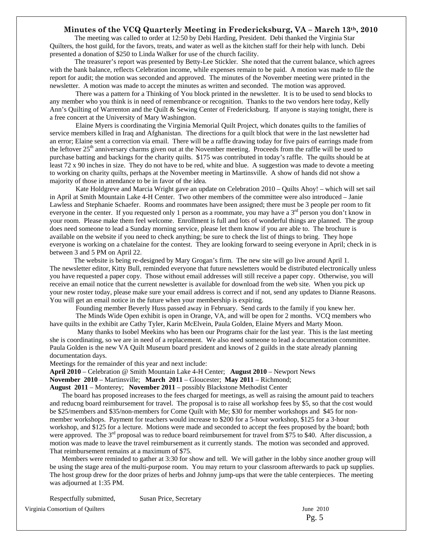#### **Minutes of the VCQ Quarterly Meeting in Fredericksburg, VA – March 13th, 2010**

 The meeting was called to order at 12:50 by Debi Harding, President. Debi thanked the Virginia Star Quilters, the host guild, for the favors, treats, and water as well as the kitchen staff for their help with lunch. Debi presented a donation of \$250 to Linda Walker for use of the church facility.

The treasurer's report was presented by Betty-Lee Stickler. She noted that the current balance, which agrees with the bank balance, reflects Celebration income, while expenses remain to be paid. A motion was made to file the report for audit; the motion was seconded and approved. The minutes of the November meeting were printed in the newsletter. A motion was made to accept the minutes as written and seconded. The motion was approved.

 There was a pattern for a Thinking of You block printed in the newsletter. It is to be used to send blocks to any member who you think is in need of remembrance or recognition. Thanks to the two vendors here today, Kelly Ann's Quilting of Warrenton and the Quilt & Sewing Center of Fredericksburg. If anyone is staying tonight, there is a free concert at the University of Mary Washington.

 Elaine Myers is coordinating the Virginia Memorial Quilt Project, which donates quilts to the families of service members killed in Iraq and Afghanistan. The directions for a quilt block that were in the last newsletter had an error; Elaine sent a correction via email. There will be a raffle drawing today for five pairs of earrings made from the leftover 25<sup>th</sup> anniversary charms given out at the November meeting. Proceeds from the raffle will be used to purchase batting and backings for the charity quilts. \$175 was contributed in today's raffle. The quilts should be at least 72 x 90 inches in size. They do not have to be red, white and blue. A suggestion was made to devote a meeting to working on charity quilts, perhaps at the November meeting in Martinsville. A show of hands did not show a majority of those in attendance to be in favor of the idea.

 Kate Holdgreve and Marcia Wright gave an update on Celebration 2010 – Quilts Ahoy! – which will set sail in April at Smith Mountain Lake 4-H Center. Two other members of the committee were also introduced – Janie Lawless and Stephanie Schaefer. Rooms and roommates have been assigned; there must be 3 people per room to fit everyone in the center. If you requested only 1 person as a roommate, you may have a 3<sup>rd</sup> person you don't know in your room. Please make them feel welcome. Enrollment is full and lots of wonderful things are planned. The group does need someone to lead a Sunday morning service, please let them know if you are able to. The brochure is available on the website if you need to check anything; be sure to check the list of things to bring. They hope everyone is working on a chatelaine for the contest. They are looking forward to seeing everyone in April; check in is between 3 and 5 PM on April 22.

 The website is being re-designed by Mary Grogan's firm. The new site will go live around April 1. The newsletter editor, Kitty Bull, reminded everyone that future newsletters would be distributed electronically unless you have requested a paper copy. Those without email addresses will still receive a paper copy. Otherwise, you will receive an email notice that the current newsletter is available for download from the web site. When you pick up your new roster today, please make sure your email address is correct and if not, send any updates to Dianne Reasons. You will get an email notice in the future when your membership is expiring.

Founding member Beverly Huss passed away in February. Send cards to the family if you knew her.

 The Minds Wide Open exhibit is open in Orange, VA, and will be open for 2 months. VCQ members who have quilts in the exhibit are Cathy Tyler, Karin McElvein, Paula Golden, Elaine Myers and Marty Moon.

 Many thanks to Isobel Meekins who has been our Programs chair for the last year. This is the last meeting she is coordinating, so we are in need of a replacement. We also need someone to lead a documentation committee. Paula Golden is the new VA Quilt Museum board president and knows of 2 guilds in the state already planning documentation days.

Meetings for the remainder of this year and next include:

**April 2010** – Celebration @ Smith Mountain Lake 4-H Center; **August 2010** – Newport News

**November 2010** – Martinsville; **March 2011** – Gloucester; **May 2011** – Richmond;

**August 2011** – Monterey; **November 2011** – possibly Blackstone Methodist Center

 The board has proposed increases to the fees charged for meetings, as well as raising the amount paid to teachers and reducng board reimbursement for travel. The proposal is to raise all workshop fees by \$5, so that the cost would be \$25/members and \$35/non-members for Come Quilt with Me; \$30 for member workshops and \$45 for nonmember workshops. Payment for teachers would increase to \$200 for a 5-hour workshop, \$125 for a 3-hour workshop, and \$125 for a lecture. Motions were made and seconded to accept the fees proposed by the board; both were approved. The  $3<sup>rd</sup>$  proposal was to reduce board reimbursement for travel from \$75 to \$40. After discussion, a motion was made to leave the travel reimbursement as it currently stands. The motion was seconded and approved. That reimbursement remains at a maximum of \$75.

 Members were reminded to gather at 3:30 for show and tell. We will gather in the lobby since another group will be using the stage area of the multi-purpose room. You may return to your classroom afterwards to pack up supplies. The host group drew for the door prizes of herbs and Johnny jump-ups that were the table centerpieces. The meeting was adjourned at 1:35 PM.

Virginia Consortium of Quilters **June 2010** June 2010 Respectfully submitted, Susan Price, Secretary

Pg. 5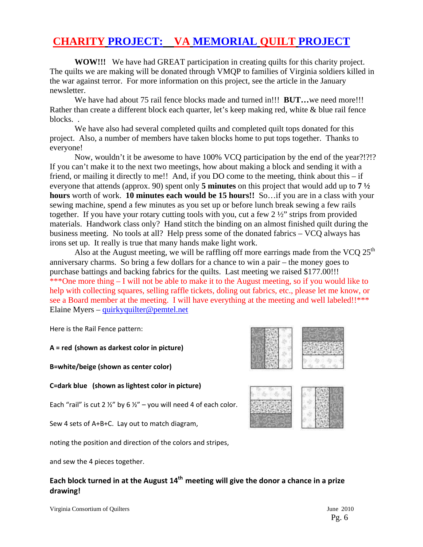# **CHARITY PROJECT: VA MEMORIAL QUILT PROJECT**

**WOW!!!** We have had GREAT participation in creating quilts for this charity project. The quilts we are making will be donated through VMQP to families of Virginia soldiers killed in the war against terror. For more information on this project, see the article in the January newsletter.

We have had about 75 rail fence blocks made and turned in!!! **BUT…**we need more!!! Rather than create a different block each quarter, let's keep making red, white & blue rail fence blocks. .

We have also had several completed quilts and completed quilt tops donated for this project. Also, a number of members have taken blocks home to put tops together. Thanks to everyone!

Now, wouldn't it be awesome to have 100% VCQ participation by the end of the year?!?!? If you can't make it to the next two meetings, how about making a block and sending it with a friend, or mailing it directly to me!! And, if you DO come to the meeting, think about this – if everyone that attends (approx. 90) spent only **5 minutes** on this project that would add up to **7 ½ hours** worth of work. **10 minutes each would be 15 hours!!** So…if you are in a class with your sewing machine, spend a few minutes as you set up or before lunch break sewing a few rails together. If you have your rotary cutting tools with you, cut a few  $2\frac{1}{2}$  strips from provided materials. Handwork class only? Hand stitch the binding on an almost finished quilt during the business meeting. No tools at all? Help press some of the donated fabrics – VCQ always has irons set up. It really is true that many hands make light work.

Also at the August meeting, we will be raffling off more earrings made from the VCQ  $25<sup>th</sup>$ anniversary charms. So bring a few dollars for a chance to win a pair – the money goes to purchase battings and backing fabrics for the quilts. Last meeting we raised \$177.00!!! \*\*\*One more thing – I will not be able to make it to the August meeting, so if you would like to help with collecting squares, selling raffle tickets, doling out fabrics, etc., please let me know, or see a Board member at the meeting. I will have everything at the meeting and well labeled!!\*\*\* Elaine Myers – quirkyquilter@pemtel.net

Here is the Rail Fence pattern:

**A = red (shown as darkest color in picture)** 

**B=white/beige (shown as center color)** 

**C=dark blue (shown as lightest color in picture)** 

Each "rail" is cut 2  $\frac{1}{2}$ " by 6  $\frac{1}{2}$ " – you will need 4 of each color.

Sew 4 sets of A+B+C. Lay out to match diagram,

noting the position and direction of the colors and stripes,

and sew the 4 pieces together.

# **Each block turned in at the August 14th meeting will give the donor a chance in a prize drawing!**

Virginia Consortium of Quilters **June 2010** 



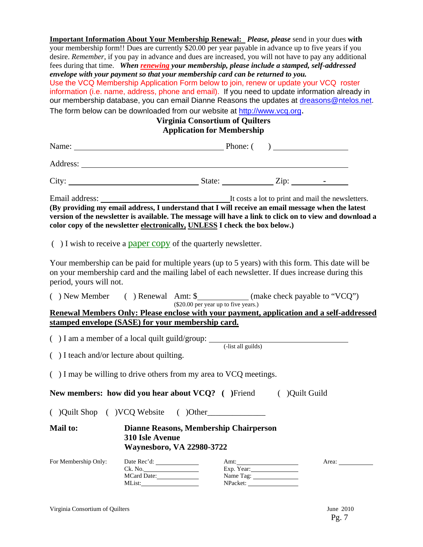**Important Information About Your Membership Renewal:** *Please, please* send in your dues **with** your membership form!! Dues are currently \$20.00 per year payable in advance up to five years if you desire. *Remember*, if you pay in advance and dues are increased, you will not have to pay any additional fees during that time. *When renewing your membership, please include a stamped, self-addressed envelope with your payment so that your membership card can be returned to you.*  Use the VCQ Membership Application Form below to join, renew or update your VCQ roster information (i.e. name, address, phone and email). If you need to update information already in our membership database, you can email Dianne Reasons the updates at dreasons@ntelos.net. The form below can be downloaded from our website at http://www.vcq.org. **Virginia Consortium of Quilters Application for Membership** 

| Name: $\qquad \qquad$ Phone: $\qquad \qquad$ Phone: $\qquad \qquad$                                                                                                                                                                                                                         |  |  |  |
|---------------------------------------------------------------------------------------------------------------------------------------------------------------------------------------------------------------------------------------------------------------------------------------------|--|--|--|
|                                                                                                                                                                                                                                                                                             |  |  |  |
| City: $\qquad \qquad$ State: $\qquad \qquad$ Zip: $\qquad \qquad$ -                                                                                                                                                                                                                         |  |  |  |
|                                                                                                                                                                                                                                                                                             |  |  |  |
| (By providing my email address, I understand that I will receive an email message when the latest<br>version of the newsletter is available. The message will have a link to click on to view and download a<br>color copy of the newsletter electronically, UNLESS I check the box below.) |  |  |  |

 $( )$  I wish to receive a paper copy of the quarterly newsletter.

Your membership can be paid for multiple years (up to 5 years) with this form. This date will be on your membership card and the mailing label of each newsletter. If dues increase during this period, yours will not.

| ) New Member                                                                             | Renewal Amt: \$ |  | (make check payable to "VCQ")        |  |
|------------------------------------------------------------------------------------------|-----------------|--|--------------------------------------|--|
|                                                                                          |                 |  | (\$20.00 per year up to five years.) |  |
| Renewal Members Only: Please enclose with your payment, application and a self-addressed |                 |  |                                      |  |

**stamped envelope (SASE) for your membership card.**

( $)$  I am a member of a local quilt guild/group:  $\frac{1}{\text{dist all guides}}$ 

( ) I teach and/or lecture about quilting.

( ) I may be willing to drive others from my area to VCQ meetings.

**New members: how did you hear about VCQ?** ( )Friend ( )Quilt Guild

( )Quilt Shop ( )VCQ Website ( )Other\_\_\_\_\_\_\_\_\_\_\_\_\_\_

### **Mail to: Dianne Reasons, Membership Chairperson 310 Isle Avenue Waynesboro, VA 22980-3722**

| For Membership Only: | Date Rec'd: | Amt:       | Area: |
|----------------------|-------------|------------|-------|
|                      | Ck. No.     | Exp. Year: |       |
|                      | MCard Date: | Name Tag:  |       |
|                      | MList:      | NPacket:   |       |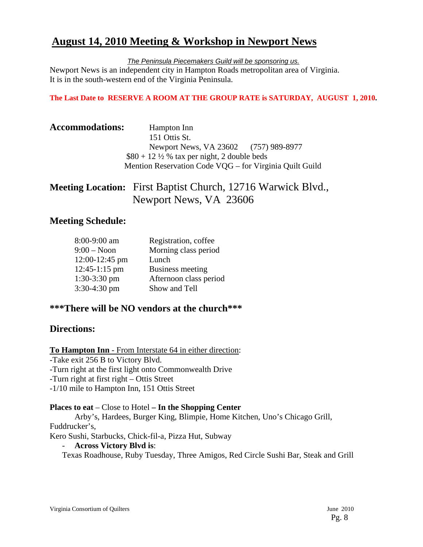# **August 14, 2010 Meeting & Workshop in Newport News**

*The Peninsula Piecemakers Guild will be sponsoring us.*

Newport News is an independent city in Hampton Roads metropolitan area of Virginia. It is in the south-western end of the Virginia Peninsula.

#### **The Last Date to RESERVE A ROOM AT THE GROUP RATE is SATURDAY, AUGUST 1, 2010.**

| <b>Accommodations:</b> | Hampton Inn<br>151 Ottis St.                            |  |
|------------------------|---------------------------------------------------------|--|
|                        | Newport News, VA 23602 (757) 989-8977                   |  |
|                        | $$80 + 12\frac{1}{2}\%$ tax per night, 2 double beds    |  |
|                        | Mention Reservation Code VQG – for Virginia Quilt Guild |  |

# **Meeting Location:** First Baptist Church, 12716 Warwick Blvd., Newport News, VA 23606

# **Meeting Schedule:**

| 8:00-9:00 am    | Registration, coffee   |
|-----------------|------------------------|
| $9:00 - N$ oon  | Morning class period   |
| 12:00-12:45 pm  | Lunch                  |
| $12:45-1:15$ pm | Business meeting       |
| $1:30-3:30$ pm  | Afternoon class period |
| 3:30-4:30 pm    | Show and Tell          |

## **\*\*\*There will be NO vendors at the church\*\*\***

## **Directions:**

**To Hampton Inn** - From Interstate 64 in either direction:

-Take exit 256 B to Victory Blvd. -Turn right at the first light onto Commonwealth Drive -Turn right at first right – Ottis Street -1/10 mile to Hampton Inn, 151 Ottis Street

**Places to eat** – Close to Hotel **– In the Shopping Center** Arby's, Hardees, Burger King, Blimpie, Home Kitchen, Uno's Chicago Grill, Fuddrucker's,

Kero Sushi, Starbucks, Chick-fil-a, Pizza Hut, Subway

- **Across Victory Blvd is**:

Texas Roadhouse, Ruby Tuesday, Three Amigos, Red Circle Sushi Bar, Steak and Grill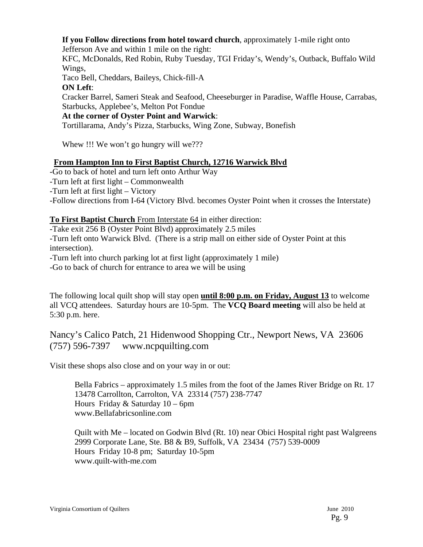#### **If you Follow directions from hotel toward church**, approximately 1-mile right onto

Jefferson Ave and within 1 mile on the right:

KFC, McDonalds, Red Robin, Ruby Tuesday, TGI Friday's, Wendy's, Outback, Buffalo Wild Wings,

Taco Bell, Cheddars, Baileys, Chick-fill-A

**ON Left**:

Cracker Barrel, Sameri Steak and Seafood, Cheeseburger in Paradise, Waffle House, Carrabas, Starbucks, Applebee's, Melton Pot Fondue

#### **At the corner of Oyster Point and Warwick**:

Tortillarama, Andy's Pizza, Starbucks, Wing Zone, Subway, Bonefish

Whew !!! We won't go hungry will we???

#### **From Hampton Inn to First Baptist Church, 12716 Warwick Blvd**

-Go to back of hotel and turn left onto Arthur Way

-Turn left at first light – Commonwealth

-Turn left at first light – Victory

-Follow directions from I-64 (Victory Blvd. becomes Oyster Point when it crosses the Interstate)

#### **To First Baptist Church** From Interstate 64 in either direction:

-Take exit 256 B (Oyster Point Blvd) approximately 2.5 miles

-Turn left onto Warwick Blvd. (There is a strip mall on either side of Oyster Point at this intersection).

-Turn left into church parking lot at first light (approximately 1 mile)

-Go to back of church for entrance to area we will be using

The following local quilt shop will stay open **until 8:00 p.m. on Friday, August 13** to welcome all VCQ attendees. Saturday hours are 10-5pm. The **VCQ Board meeting** will also be held at 5:30 p.m. here.

# Nancy's Calico Patch, 21 Hidenwood Shopping Ctr., Newport News, VA 23606 (757) 596-7397 www.ncpquilting.com

Visit these shops also close and on your way in or out:

 Bella Fabrics – approximately 1.5 miles from the foot of the James River Bridge on Rt. 17 13478 Carrollton, Carrolton, VA 23314 (757) 238-7747 Hours Friday & Saturday 10 – 6pm www.Bellafabricsonline.com

 Quilt with Me – located on Godwin Blvd (Rt. 10) near Obici Hospital right past Walgreens 2999 Corporate Lane, Ste. B8 & B9, Suffolk, VA 23434 (757) 539-0009 Hours Friday 10-8 pm; Saturday 10-5pm www.quilt-with-me.com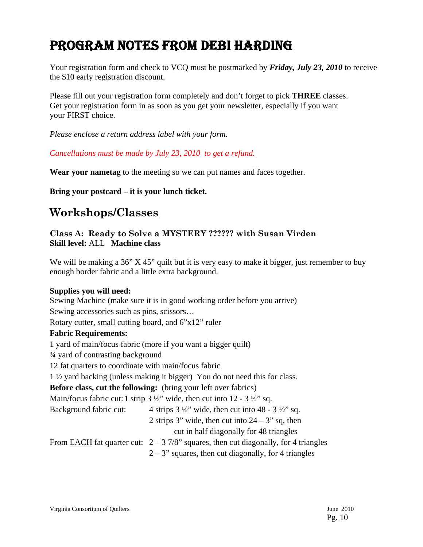# PROGRAM NOTES FROM DEBI HARDING

Your registration form and check to VCQ must be postmarked by *Friday, July 23, 2010* to receive the \$10 early registration discount.

Please fill out your registration form completely and don't forget to pick **THREE** classes. Get your registration form in as soon as you get your newsletter, especially if you want your FIRST choice.

*Please enclose a return address label with your form.*

*Cancellations must be made by July 23, 2010 to get a refund.* 

**Wear your nametag** to the meeting so we can put names and faces together.

**Bring your postcard – it is your lunch ticket.** 

# **Workshops/Classes**

### **Class A: Ready to Solve a MYSTERY ?????? with Susan Virden Skill level:** ALL **Machine class**

We will be making a 36" X 45" quilt but it is very easy to make it bigger, just remember to buy enough border fabric and a little extra background.

#### **Supplies you will need:**

Sewing Machine (make sure it is in good working order before you arrive) Sewing accessories such as pins, scissors… Rotary cutter, small cutting board, and 6"x12" ruler **Fabric Requirements:**  1 yard of main/focus fabric (more if you want a bigger quilt) ¾ yard of contrasting background 12 fat quarters to coordinate with main/focus fabric 1 ½ yard backing (unless making it bigger) You do not need this for class. **Before class, cut the following:** (bring your left over fabrics) Main/focus fabric cut: 1 strip  $3\frac{1}{2}$ " wide, then cut into  $12 - 3\frac{1}{2}$ " sq. Background fabric cut:  $4 \text{ strips } 3 \frac{1}{2}$  wide, then cut into  $48 - 3 \frac{1}{2}$  sq. 2 strips 3" wide, then cut into  $24 - 3$ " sq, then cut in half diagonally for 48 triangles From EACH fat quarter cut:  $2 - 37/8$ " squares, then cut diagonally, for 4 triangles  $2 - 3$ " squares, then cut diagonally, for 4 triangles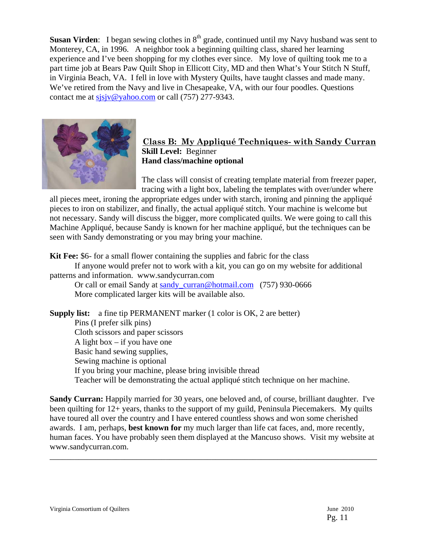**Susan Virden:** I began sewing clothes in 8<sup>th</sup> grade, continued until my Navy husband was sent to Monterey, CA, in 1996. A neighbor took a beginning quilting class, shared her learning experience and I've been shopping for my clothes ever since. My love of quilting took me to a part time job at Bears Paw Quilt Shop in Ellicott City, MD and then What's Your Stitch N Stuff, in Virginia Beach, VA. I fell in love with Mystery Quilts, have taught classes and made many. We've retired from the Navy and live in Chesapeake, VA, with our four poodles. Questions contact me at sjsjv@yahoo.com or call (757) 277-9343.



#### **Class B: My Appliqué Techniques- with Sandy Curran Skill Level:** Beginner **Hand class/machine optional**

The class will consist of creating template material from freezer paper, tracing with a light box, labeling the templates with over/under where

all pieces meet, ironing the appropriate edges under with starch, ironing and pinning the appliqué pieces to iron on stabilizer, and finally, the actual appliqué stitch. Your machine is welcome but not necessary. Sandy will discuss the bigger, more complicated quilts. We were going to call this Machine Appliqué, because Sandy is known for her machine appliqué, but the techniques can be seen with Sandy demonstrating or you may bring your machine.

**Kit Fee:** \$6- for a small flower containing the supplies and fabric for the class

 If anyone would prefer not to work with a kit, you can go on my website for additional patterns and information. www.sandycurran.com

Or call or email Sandy at sandy\_curran@hotmail.com (757) 930-0666 More complicated larger kits will be available also.

**Supply list:** a fine tip PERMANENT marker (1 color is OK, 2 are better) Pins (I prefer silk pins) Cloth scissors and paper scissors A light box  $-$  if you have one Basic hand sewing supplies, Sewing machine is optional If you bring your machine, please bring invisible thread Teacher will be demonstrating the actual appliqué stitch technique on her machine.

**Sandy Curran:** Happily married for 30 years, one beloved and, of course, brilliant daughter. I've been quilting for 12+ years, thanks to the support of my guild, Peninsula Piecemakers. My quilts have toured all over the country and I have entered countless shows and won some cherished awards. I am, perhaps, **best known for** my much larger than life cat faces, and, more recently, human faces. You have probably seen them displayed at the Mancuso shows. Visit my website at www.sandycurran.com.

\_\_\_\_\_\_\_\_\_\_\_\_\_\_\_\_\_\_\_\_\_\_\_\_\_\_\_\_\_\_\_\_\_\_\_\_\_\_\_\_\_\_\_\_\_\_\_\_\_\_\_\_\_\_\_\_\_\_\_\_\_\_\_\_\_\_\_\_\_\_\_\_\_\_\_\_\_\_\_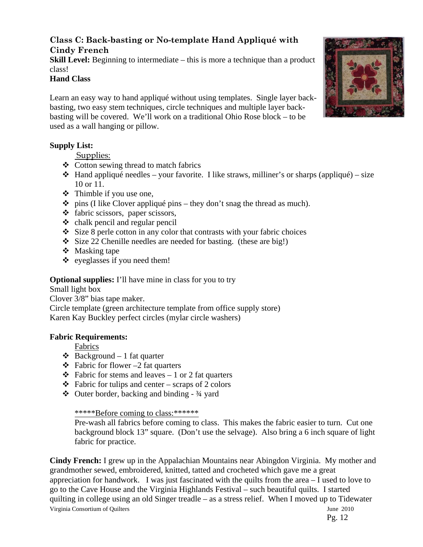## **Class C: Back-basting or No-template Hand Appliqué with Cindy French**

**Skill Level:** Beginning to intermediate – this is more a technique than a product class!

#### **Hand Class**

Learn an easy way to hand appliqué without using templates. Single layer backbasting, two easy stem techniques, circle techniques and multiple layer backbasting will be covered. We'll work on a traditional Ohio Rose block – to be used as a wall hanging or pillow.

### **Supply List:**

Supplies:

- $\leftrightarrow$  Cotton sewing thread to match fabrics
- $\triangleleft$  Hand appliqué needles your favorite. I like straws, milliner's or sharps (appliqué) size 10 or 11.
- Thimble if you use one,
- $\div$  pins (I like Clover appliqué pins they don't snag the thread as much).
- fabric scissors, paper scissors,
- $\triangleleft$  chalk pencil and regular pencil
- $\div$  Size 8 perle cotton in any color that contrasts with your fabric choices
- Size 22 Chenille needles are needed for basting. (these are big!)
- ❖ Masking tape
- $\triangleleft$  eyeglasses if you need them!

## **Optional supplies:** I'll have mine in class for you to try

Small light box Clover 3/8" bias tape maker. Circle template (green architecture template from office supply store) Karen Kay Buckley perfect circles (mylar circle washers)

#### **Fabric Requirements:**

Fabrics

- $\triangleleft$  Background 1 fat quarter
- $\div$  Fabric for flower -2 fat quarters
- $\triangle$  Fabric for stems and leaves 1 or 2 fat quarters
- $\triangle$  Fabric for tulips and center scraps of 2 colors
- $\triangleleft$  Outer border, backing and binding  $\frac{3}{4}$  yard

#### \*\*\*\*\*Before coming to class:\*\*\*\*\*\*

Pre-wash all fabrics before coming to class. This makes the fabric easier to turn. Cut one background block 13" square. (Don't use the selvage). Also bring a 6 inch square of light fabric for practice.

Virginia Consortium of Quilters June 2010 **Cindy French:** I grew up in the Appalachian Mountains near Abingdon Virginia. My mother and grandmother sewed, embroidered, knitted, tatted and crocheted which gave me a great appreciation for handwork. I was just fascinated with the quilts from the area – I used to love to go to the Cave House and the Virginia Highlands Festival – such beautiful quilts. I started quilting in college using an old Singer treadle – as a stress relief. When I moved up to Tidewater



Pg. 12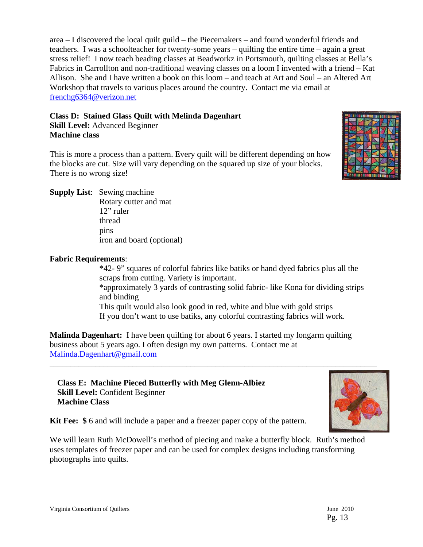area – I discovered the local quilt guild – the Piecemakers – and found wonderful friends and teachers. I was a schoolteacher for twenty-some years – quilting the entire time – again a great stress relief! I now teach beading classes at Beadworkz in Portsmouth, quilting classes at Bella's Fabrics in Carrollton and non-traditional weaving classes on a loom I invented with a friend – Kat Allison. She and I have written a book on this loom – and teach at Art and Soul – an Altered Art Workshop that travels to various places around the country. Contact me via email at frenchg6364@verizon.net

#### **Class D: Stained Glass Quilt with Melinda Dagenhart**

**Skill Level:** Advanced Beginner **Machine class** 

This is more a process than a pattern. Every quilt will be different depending on how the blocks are cut. Size will vary depending on the squared up size of your blocks. There is no wrong size!



**Supply List**: Sewing machine

 Rotary cutter and mat 12" ruler thread pins iron and board (optional)

### **Fabric Requirements**:

\*42- 9" squares of colorful fabrics like batiks or hand dyed fabrics plus all the scraps from cutting. Variety is important. \*approximately 3 yards of contrasting solid fabric- like Kona for dividing strips and binding This quilt would also look good in red, white and blue with gold strips If you don't want to use batiks, any colorful contrasting fabrics will work.

**Malinda Dagenhart:** I have been quilting for about 6 years. I started my longarm quilting business about 5 years ago. I often design my own patterns. Contact me at Malinda.Dagenhart@gmail.com

**Class E: Machine Pieced Butterfly with Meg Glenn-Albiez Skill Level:** Confident Beginner **Machine Class** 



**Kit Fee: \$** 6 and will include a paper and a freezer paper copy of the pattern.

We will learn Ruth McDowell's method of piecing and make a butterfly block. Ruth's method uses templates of freezer paper and can be used for complex designs including transforming photographs into quilts.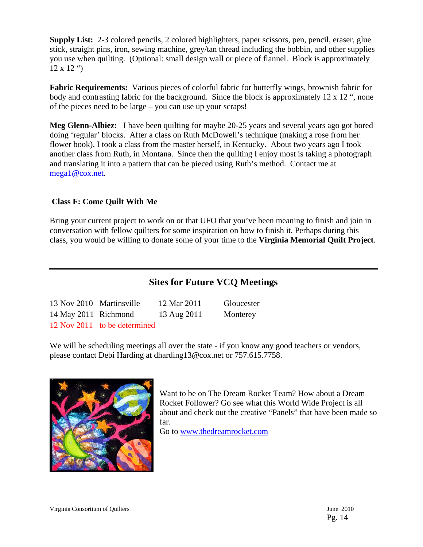**Supply List:** 2-3 colored pencils, 2 colored highlighters, paper scissors, pen, pencil, eraser, glue stick, straight pins, iron, sewing machine, grey/tan thread including the bobbin, and other supplies you use when quilting. (Optional: small design wall or piece of flannel. Block is approximately  $12 \times 12$  ")

**Fabric Requirements:** Various pieces of colorful fabric for butterfly wings, brownish fabric for body and contrasting fabric for the background. Since the block is approximately 12 x 12 ", none of the pieces need to be large – you can use up your scraps!

**Meg Glenn-Albiez:** I have been quilting for maybe 20-25 years and several years ago got bored doing 'regular' blocks. After a class on Ruth McDowell's technique (making a rose from her flower book), I took a class from the master herself, in Kentucky. About two years ago I took another class from Ruth, in Montana. Since then the quilting I enjoy most is taking a photograph and translating it into a pattern that can be pieced using Ruth's method. Contact me at mega1@cox.net.

### **Class F: Come Quilt With Me**

Bring your current project to work on or that UFO that you've been meaning to finish and join in conversation with fellow quilters for some inspiration on how to finish it. Perhaps during this class, you would be willing to donate some of your time to the **Virginia Memorial Quilt Project**.

# **Sites for Future VCQ Meetings**

| 13 Nov 2010 Martinsville |                              | 12 Mar 2011 | Gloucester |
|--------------------------|------------------------------|-------------|------------|
| 14 May 2011 Richmond     |                              | 13 Aug 2011 | Monterey   |
|                          | 12 Nov 2011 to be determined |             |            |

We will be scheduling meetings all over the state - if you know any good teachers or vendors, please contact Debi Harding at dharding13@cox.net or 757.615.7758.



Want to be on The Dream Rocket Team? How about a Dream Rocket Follower? Go see what this World Wide Project is all about and check out the creative "Panels" that have been made so far.

Go to www.thedreamrocket.com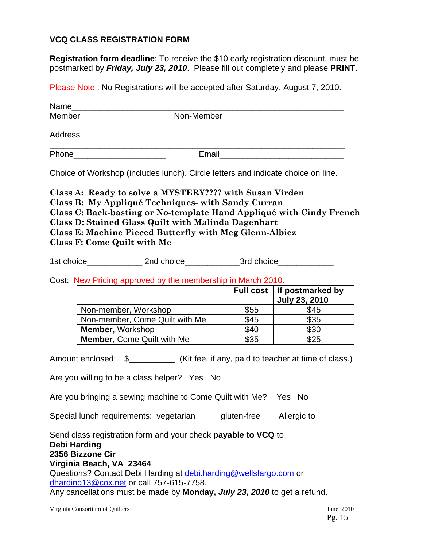### **VCQ CLASS REGISTRATION FORM**

**Registration form deadline**: To receive the \$10 early registration discount, must be postmarked by *Friday, July 23, 2010*. Please fill out completely and please **PRINT**.

Please Note : No Registrations will be accepted after Saturday, August 7, 2010.

|                                                                   | Name                                                                             |
|-------------------------------------------------------------------|----------------------------------------------------------------------------------|
| <b>Member Exercise Service Member</b><br>Non-Member______________ |                                                                                  |
|                                                                   |                                                                                  |
| Phone________________________                                     |                                                                                  |
|                                                                   | Choice of Workshop (includes lunch). Circle letters and indicate choice on line. |

**Class A: Ready to solve a MYSTERY???? with Susan Virden Class B: My Appliqué Techniques- with Sandy Curran Class C: Back-basting or No-template Hand Appliqué with Cindy French Class D: Stained Glass Quilt with Malinda Dagenhart Class E: Machine Pieced Butterfly with Meg Glenn-Albiez Class F: Come Quilt with Me** 

1st choice and choice and choice and choice and  $3$ rd choice

Cost: New Pricing approved by the membership in March 2010.

|                                   |      | Full cost   If postmarked by<br><b>July 23, 2010</b> |
|-----------------------------------|------|------------------------------------------------------|
| Non-member, Workshop              | \$55 | \$45                                                 |
| Non-member, Come Quilt with Me    | \$45 | \$35                                                 |
| Member, Workshop                  | \$40 | \$30                                                 |
| <b>Member, Come Quilt with Me</b> | \$35 | \$25                                                 |

Amount enclosed:  $\frac{1}{2}$   $\frac{1}{2}$  (Kit fee, if any, paid to teacher at time of class.)

Are you willing to be a class helper? Yes No

Are you bringing a sewing machine to Come Quilt with Me? Yes No

Special lunch requirements: vegetarian\_\_\_ gluten-free\_\_\_ Allergic to \_\_\_\_\_\_\_\_\_\_\_

Send class registration form and your check **payable to VCQ** to **Debi Harding 2356 Bizzone Cir Virginia Beach, VA 23464**  Questions? Contact Debi Harding at debi.harding@wellsfargo.com or dharding13@cox.net or call 757-615-7758. Any cancellations must be made by **Monday,** *July 23, 2010* to get a refund.